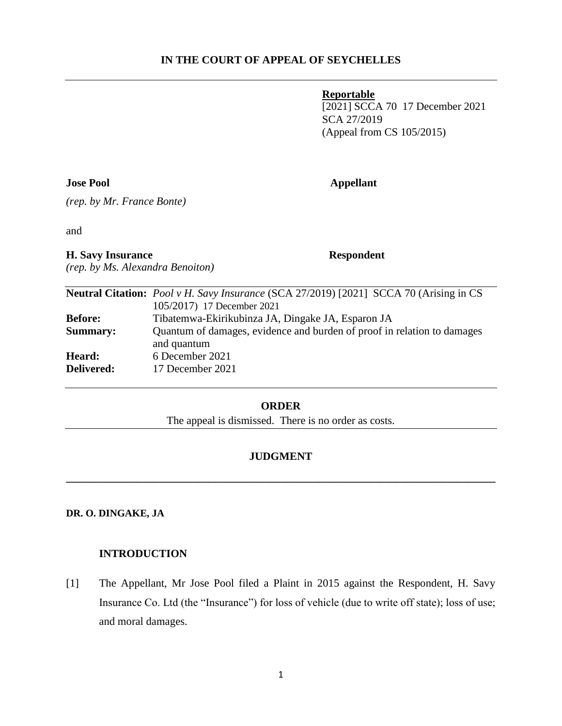## **Reportable**

[2021] SCCA 70 17 December 2021 SCA 27/2019 (Appeal from CS 105/2015)

#### **Jose Pool Appellant**

*(rep. by Mr. France Bonte)*

and

**H. Savy Insurance Respondent**

*(rep. by Ms. Alexandra Benoiton)*

|                 | <b>Neutral Citation:</b> <i>Pool v H. Savy Insurance</i> (SCA 27/2019) [2021] SCCA 70 (Arising in CS |
|-----------------|------------------------------------------------------------------------------------------------------|
|                 | 105/2017) 17 December 2021                                                                           |
| <b>Before:</b>  | Tibatemwa-Ekirikubinza JA, Dingake JA, Esparon JA                                                    |
| <b>Summary:</b> | Quantum of damages, evidence and burden of proof in relation to damages                              |
|                 | and quantum                                                                                          |
| Heard:          | 6 December 2021                                                                                      |
| Delivered:      | 17 December 2021                                                                                     |

## **ORDER**

The appeal is dismissed. There is no order as costs.

## **JUDGMENT**

**\_\_\_\_\_\_\_\_\_\_\_\_\_\_\_\_\_\_\_\_\_\_\_\_\_\_\_\_\_\_\_\_\_\_\_\_\_\_\_\_\_\_\_\_\_\_\_\_\_\_\_\_\_\_\_\_\_\_\_\_\_\_\_\_\_\_\_\_\_\_\_\_\_\_\_\_\_\_**

## **DR. O. DINGAKE, JA**

## **INTRODUCTION**

[1] The Appellant, Mr Jose Pool filed a Plaint in 2015 against the Respondent, H. Savy Insurance Co. Ltd (the "Insurance") for loss of vehicle (due to write off state); loss of use; and moral damages.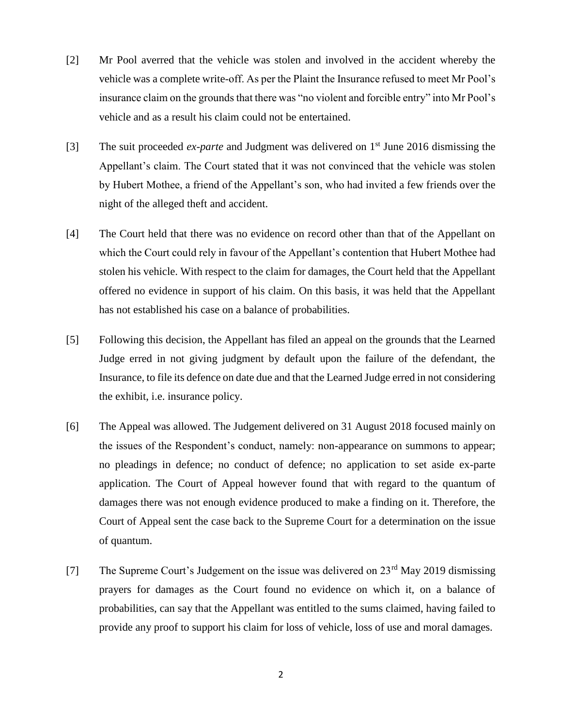- [2] Mr Pool averred that the vehicle was stolen and involved in the accident whereby the vehicle was a complete write-off. As per the Plaint the Insurance refused to meet Mr Pool's insurance claim on the grounds that there was "no violent and forcible entry" into Mr Pool's vehicle and as a result his claim could not be entertained.
- [3] The suit proceeded *ex-parte* and Judgment was delivered on 1st June 2016 dismissing the Appellant's claim. The Court stated that it was not convinced that the vehicle was stolen by Hubert Mothee, a friend of the Appellant's son, who had invited a few friends over the night of the alleged theft and accident.
- [4] The Court held that there was no evidence on record other than that of the Appellant on which the Court could rely in favour of the Appellant's contention that Hubert Mothee had stolen his vehicle. With respect to the claim for damages, the Court held that the Appellant offered no evidence in support of his claim. On this basis, it was held that the Appellant has not established his case on a balance of probabilities.
- [5] Following this decision, the Appellant has filed an appeal on the grounds that the Learned Judge erred in not giving judgment by default upon the failure of the defendant, the Insurance, to file its defence on date due and that the Learned Judge erred in not considering the exhibit, i.e. insurance policy.
- [6] The Appeal was allowed. The Judgement delivered on 31 August 2018 focused mainly on the issues of the Respondent's conduct, namely: non-appearance on summons to appear; no pleadings in defence; no conduct of defence; no application to set aside ex-parte application. The Court of Appeal however found that with regard to the quantum of damages there was not enough evidence produced to make a finding on it. Therefore, the Court of Appeal sent the case back to the Supreme Court for a determination on the issue of quantum.
- [7] The Supreme Court's Judgement on the issue was delivered on  $23<sup>rd</sup>$  May 2019 dismissing prayers for damages as the Court found no evidence on which it, on a balance of probabilities, can say that the Appellant was entitled to the sums claimed, having failed to provide any proof to support his claim for loss of vehicle, loss of use and moral damages.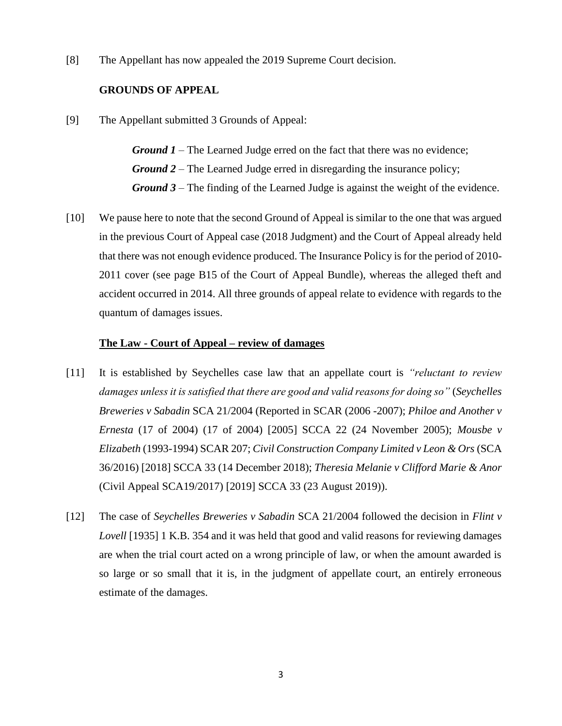[8] The Appellant has now appealed the 2019 Supreme Court decision.

## **GROUNDS OF APPEAL**

[9] The Appellant submitted 3 Grounds of Appeal:

*Ground 1* – The Learned Judge erred on the fact that there was no evidence; *Ground 2* – The Learned Judge erred in disregarding the insurance policy; *Ground 3* – The finding of the Learned Judge is against the weight of the evidence.

[10] We pause here to note that the second Ground of Appeal is similar to the one that was argued in the previous Court of Appeal case (2018 Judgment) and the Court of Appeal already held that there was not enough evidence produced. The Insurance Policy is for the period of 2010- 2011 cover (see page B15 of the Court of Appeal Bundle), whereas the alleged theft and accident occurred in 2014. All three grounds of appeal relate to evidence with regards to the quantum of damages issues.

## **The Law - Court of Appeal – review of damages**

- [11] It is established by Seychelles case law that an appellate court is *"reluctant to review damages unless it is satisfied that there are good and valid reasons for doing so"* (*Seychelles Breweries v Sabadin* SCA 21/2004 (Reported in SCAR (2006 -2007); *Philoe and Another v Ernesta* (17 of 2004) (17 of 2004) [2005] SCCA 22 (24 November 2005); *Mousbe v Elizabeth* (1993-1994) SCAR 207; *Civil Construction Company Limited v Leon & Ors* (SCA 36/2016) [2018] SCCA 33 (14 December 2018); *Theresia Melanie v Clifford Marie & Anor* (Civil Appeal SCA19/2017) [2019] SCCA 33 (23 August 2019)).
- [12] The case of *Seychelles Breweries v Sabadin* SCA 21/2004 followed the decision in *Flint v Lovell* [1935] 1 K.B. 354 and it was held that good and valid reasons for reviewing damages are when the trial court acted on a wrong principle of law, or when the amount awarded is so large or so small that it is, in the judgment of appellate court, an entirely erroneous estimate of the damages.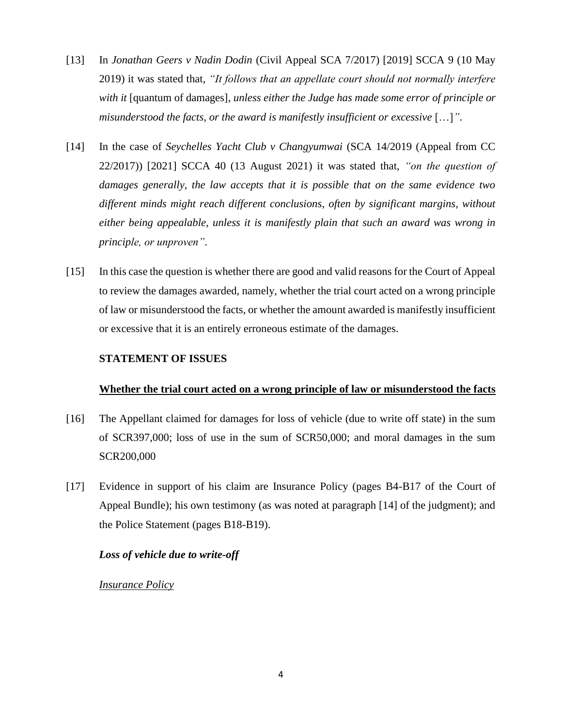- [13] In *Jonathan Geers v Nadin Dodin* (Civil Appeal SCA 7/2017) [2019] SCCA 9 (10 May 2019) it was stated that, *"It follows that an appellate court should not normally interfere with it* [quantum of damages]*, unless either the Judge has made some error of principle or misunderstood the facts, or the award is manifestly insufficient or excessive* […]*"*.
- [14] In the case of *Seychelles Yacht Club v Changyumwai* (SCA 14/2019 (Appeal from CC 22/2017)) [2021] SCCA 40 (13 August 2021) it was stated that, *"on the question of damages generally, the law accepts that it is possible that on the same evidence two different minds might reach different conclusions, often by significant margins, without either being appealable, unless it is manifestly plain that such an award was wrong in principle, or unproven"*.
- [15] In this case the question is whether there are good and valid reasons for the Court of Appeal to review the damages awarded, namely, whether the trial court acted on a wrong principle of law or misunderstood the facts, or whether the amount awarded is manifestly insufficient or excessive that it is an entirely erroneous estimate of the damages.

## **STATEMENT OF ISSUES**

## **Whether the trial court acted on a wrong principle of law or misunderstood the facts**

- [16] The Appellant claimed for damages for loss of vehicle (due to write off state) in the sum of SCR397,000; loss of use in the sum of SCR50,000; and moral damages in the sum SCR200,000
- [17] Evidence in support of his claim are Insurance Policy (pages B4-B17 of the Court of Appeal Bundle); his own testimony (as was noted at paragraph [14] of the judgment); and the Police Statement (pages B18-B19).

## *Loss of vehicle due to write-off*

## *Insurance Policy*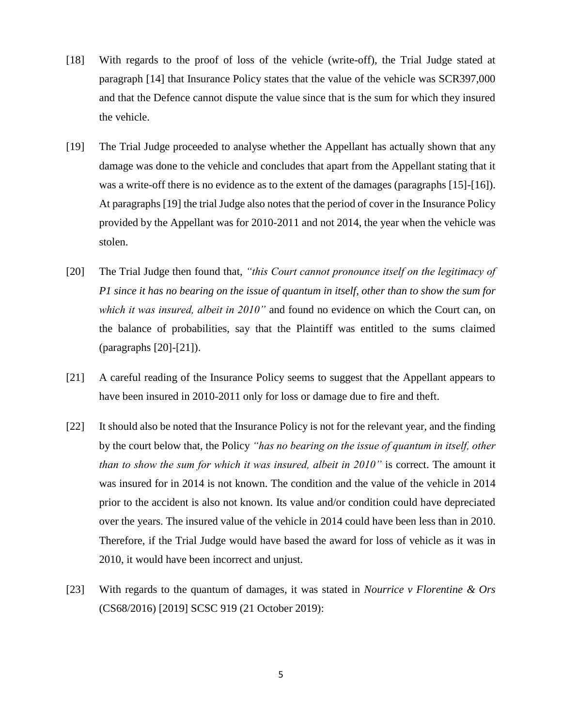- [18] With regards to the proof of loss of the vehicle (write-off), the Trial Judge stated at paragraph [14] that Insurance Policy states that the value of the vehicle was SCR397,000 and that the Defence cannot dispute the value since that is the sum for which they insured the vehicle.
- [19] The Trial Judge proceeded to analyse whether the Appellant has actually shown that any damage was done to the vehicle and concludes that apart from the Appellant stating that it was a write-off there is no evidence as to the extent of the damages (paragraphs [15]-[16]). At paragraphs [19] the trial Judge also notes that the period of cover in the Insurance Policy provided by the Appellant was for 2010-2011 and not 2014, the year when the vehicle was stolen.
- [20] The Trial Judge then found that, *"this Court cannot pronounce itself on the legitimacy of P1 since it has no bearing on the issue of quantum in itself, other than to show the sum for which it was insured, albeit in 2010"* and found no evidence on which the Court can, on the balance of probabilities, say that the Plaintiff was entitled to the sums claimed (paragraphs [20]-[21]).
- [21] A careful reading of the Insurance Policy seems to suggest that the Appellant appears to have been insured in 2010-2011 only for loss or damage due to fire and theft.
- [22] It should also be noted that the Insurance Policy is not for the relevant year, and the finding by the court below that, the Policy *"has no bearing on the issue of quantum in itself, other than to show the sum for which it was insured, albeit in 2010"* is correct. The amount it was insured for in 2014 is not known. The condition and the value of the vehicle in 2014 prior to the accident is also not known. Its value and/or condition could have depreciated over the years. The insured value of the vehicle in 2014 could have been less than in 2010. Therefore, if the Trial Judge would have based the award for loss of vehicle as it was in 2010, it would have been incorrect and unjust.
- [23] With regards to the quantum of damages, it was stated in *Nourrice v Florentine & Ors* (CS68/2016) [2019] SCSC 919 (21 October 2019):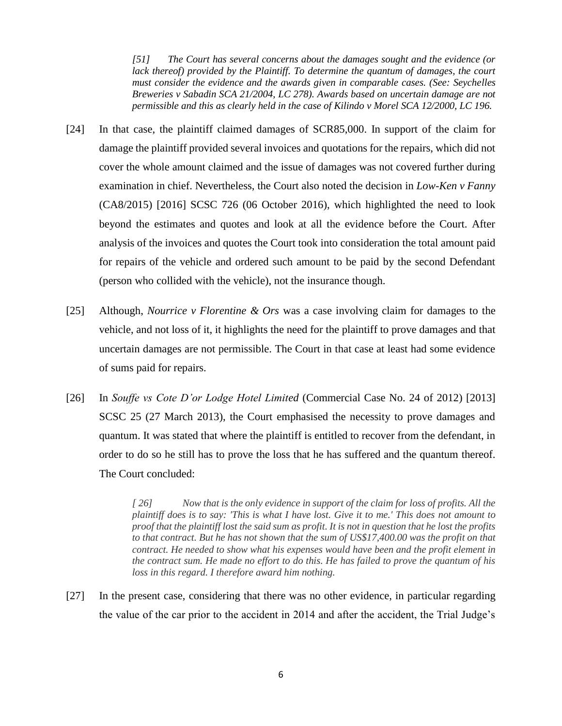*[51] The Court has several concerns about the damages sought and the evidence (or lack thereof) provided by the Plaintiff. To determine the quantum of damages, the court must consider the evidence and the awards given in comparable cases. (See: Seychelles Breweries v Sabadin SCA 21/2004, LC 278). Awards based on uncertain damage are not permissible and this as clearly held in the case of Kilindo v Morel SCA 12/2000, LC 196.*

- [24] In that case, the plaintiff claimed damages of SCR85,000. In support of the claim for damage the plaintiff provided several invoices and quotations for the repairs, which did not cover the whole amount claimed and the issue of damages was not covered further during examination in chief. Nevertheless, the Court also noted the decision in *Low-Ken v Fanny* (CA8/2015) [2016] SCSC 726 (06 October 2016), which highlighted the need to look beyond the estimates and quotes and look at all the evidence before the Court. After analysis of the invoices and quotes the Court took into consideration the total amount paid for repairs of the vehicle and ordered such amount to be paid by the second Defendant (person who collided with the vehicle), not the insurance though.
- [25] Although, *Nourrice v Florentine & Ors* was a case involving claim for damages to the vehicle, and not loss of it, it highlights the need for the plaintiff to prove damages and that uncertain damages are not permissible. The Court in that case at least had some evidence of sums paid for repairs.
- [26] In *Souffe vs Cote D'or Lodge Hotel Limited* (Commercial Case No. 24 of 2012) [2013] SCSC 25 (27 March 2013), the Court emphasised the necessity to prove damages and quantum. It was stated that where the plaintiff is entitled to recover from the defendant, in order to do so he still has to prove the loss that he has suffered and the quantum thereof. The Court concluded:

*[ 26] Now that is the only evidence in support of the claim for loss of profits. All the plaintiff does is to say: 'This is what I have lost. Give it to me.' This does not amount to proof that the plaintiff lost the said sum as profit. It is not in question that he lost the profits to that contract. But he has not shown that the sum of US\$17,400.00 was the profit on that contract. He needed to show what his expenses would have been and the profit element in the contract sum. He made no effort to do this. He has failed to prove the quantum of his loss in this regard. I therefore award him nothing.*

[27] In the present case, considering that there was no other evidence, in particular regarding the value of the car prior to the accident in 2014 and after the accident, the Trial Judge's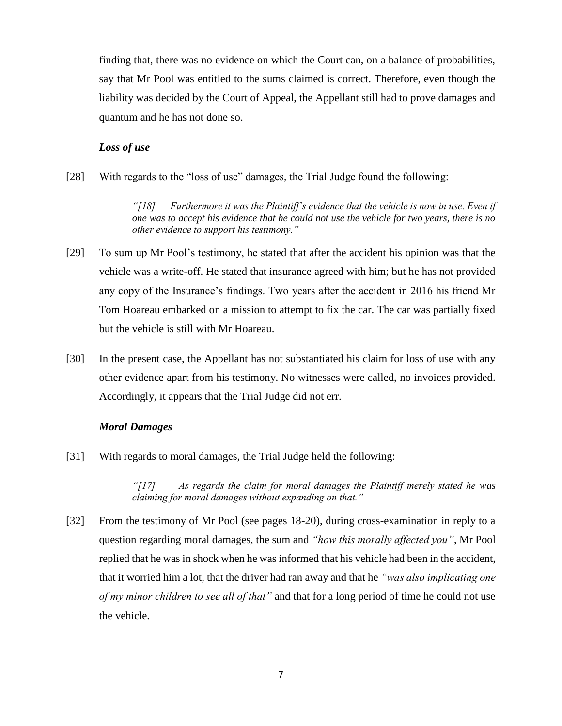finding that, there was no evidence on which the Court can, on a balance of probabilities, say that Mr Pool was entitled to the sums claimed is correct. Therefore, even though the liability was decided by the Court of Appeal, the Appellant still had to prove damages and quantum and he has not done so.

## *Loss of use*

[28] With regards to the "loss of use" damages, the Trial Judge found the following:

*"[18] Furthermore it was the Plaintiff's evidence that the vehicle is now in use. Even if one was to accept his evidence that he could not use the vehicle for two years, there is no other evidence to support his testimony."*

- [29] To sum up Mr Pool's testimony, he stated that after the accident his opinion was that the vehicle was a write-off. He stated that insurance agreed with him; but he has not provided any copy of the Insurance's findings. Two years after the accident in 2016 his friend Mr Tom Hoareau embarked on a mission to attempt to fix the car. The car was partially fixed but the vehicle is still with Mr Hoareau.
- [30] In the present case, the Appellant has not substantiated his claim for loss of use with any other evidence apart from his testimony. No witnesses were called, no invoices provided. Accordingly, it appears that the Trial Judge did not err.

## *Moral Damages*

[31] With regards to moral damages, the Trial Judge held the following:

*"[17] As regards the claim for moral damages the Plaintiff merely stated he was claiming for moral damages without expanding on that."*

[32] From the testimony of Mr Pool (see pages 18-20), during cross-examination in reply to a question regarding moral damages, the sum and *"how this morally affected you"*, Mr Pool replied that he was in shock when he was informed that his vehicle had been in the accident, that it worried him a lot, that the driver had ran away and that he *"was also implicating one of my minor children to see all of that"* and that for a long period of time he could not use the vehicle.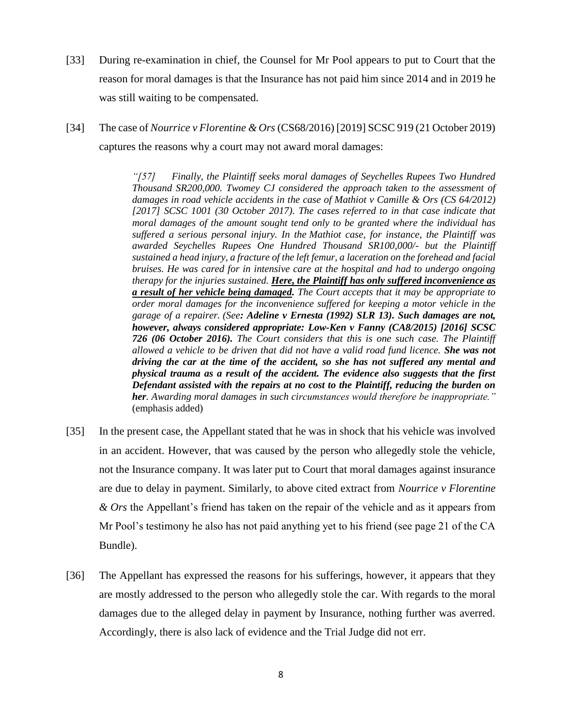- [33] During re-examination in chief, the Counsel for Mr Pool appears to put to Court that the reason for moral damages is that the Insurance has not paid him since 2014 and in 2019 he was still waiting to be compensated.
- [34] The case of *Nourrice v Florentine & Ors* (CS68/2016) [2019] SCSC 919 (21 October 2019) captures the reasons why a court may not award moral damages:

*"[57] Finally, the Plaintiff seeks moral damages of Seychelles Rupees Two Hundred Thousand SR200,000. Twomey CJ considered the approach taken to the assessment of damages in road vehicle accidents in the case of Mathiot v Camille & Ors (CS 64/2012) [2017] SCSC 1001 (30 October 2017). The cases referred to in that case indicate that moral damages of the amount sought tend only to be granted where the individual has suffered a serious personal injury. In the Mathiot case, for instance, the Plaintiff was awarded Seychelles Rupees One Hundred Thousand SR100,000/- but the Plaintiff sustained a head injury, a fracture of the left femur, a laceration on the forehead and facial bruises. He was cared for in intensive care at the hospital and had to undergo ongoing therapy for the injuries sustained. Here, the Plaintiff has only suffered inconvenience as a result of her vehicle being damaged. The Court accepts that it may be appropriate to order moral damages for the inconvenience suffered for keeping a motor vehicle in the garage of a repairer. (See: Adeline v Ernesta (1992) SLR 13). Such damages are not, however, always considered appropriate: Low-Ken v Fanny (CA8/2015) [2016] SCSC 726 (06 October 2016). The Court considers that this is one such case. The Plaintiff allowed a vehicle to be driven that did not have a valid road fund licence. She was not driving the car at the time of the accident, so she has not suffered any mental and physical trauma as a result of the accident. The evidence also suggests that the first Defendant assisted with the repairs at no cost to the Plaintiff, reducing the burden on her. Awarding moral damages in such circumstances would therefore be inappropriate."*  (emphasis added)

- [35] In the present case, the Appellant stated that he was in shock that his vehicle was involved in an accident. However, that was caused by the person who allegedly stole the vehicle, not the Insurance company. It was later put to Court that moral damages against insurance are due to delay in payment. Similarly, to above cited extract from *Nourrice v Florentine & Ors* the Appellant's friend has taken on the repair of the vehicle and as it appears from Mr Pool's testimony he also has not paid anything yet to his friend (see page 21 of the CA Bundle).
- [36] The Appellant has expressed the reasons for his sufferings, however, it appears that they are mostly addressed to the person who allegedly stole the car. With regards to the moral damages due to the alleged delay in payment by Insurance, nothing further was averred. Accordingly, there is also lack of evidence and the Trial Judge did not err.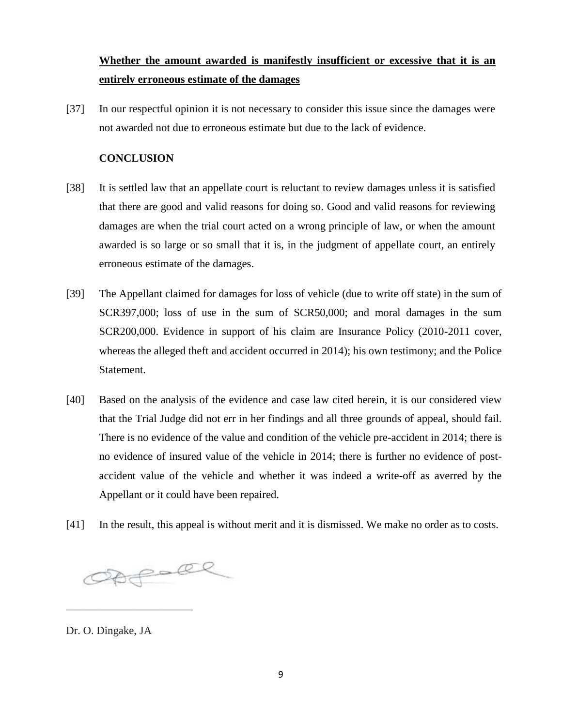# **Whether the amount awarded is manifestly insufficient or excessive that it is an entirely erroneous estimate of the damages**

[37] In our respectful opinion it is not necessary to consider this issue since the damages were not awarded not due to erroneous estimate but due to the lack of evidence.

## **CONCLUSION**

- [38] It is settled law that an appellate court is reluctant to review damages unless it is satisfied that there are good and valid reasons for doing so. Good and valid reasons for reviewing damages are when the trial court acted on a wrong principle of law, or when the amount awarded is so large or so small that it is, in the judgment of appellate court, an entirely erroneous estimate of the damages.
- [39] The Appellant claimed for damages for loss of vehicle (due to write off state) in the sum of SCR397,000; loss of use in the sum of SCR50,000; and moral damages in the sum SCR200,000. Evidence in support of his claim are Insurance Policy (2010-2011 cover, whereas the alleged theft and accident occurred in 2014); his own testimony; and the Police Statement.
- [40] Based on the analysis of the evidence and case law cited herein, it is our considered view that the Trial Judge did not err in her findings and all three grounds of appeal, should fail. There is no evidence of the value and condition of the vehicle pre-accident in 2014; there is no evidence of insured value of the vehicle in 2014; there is further no evidence of postaccident value of the vehicle and whether it was indeed a write-off as averred by the Appellant or it could have been repaired.
- [41] In the result, this appeal is without merit and it is dismissed. We make no order as to costs.

Obforce

Dr. O. Dingake, JA

\_\_\_\_\_\_\_\_\_\_\_\_\_\_\_\_\_\_\_\_\_\_\_